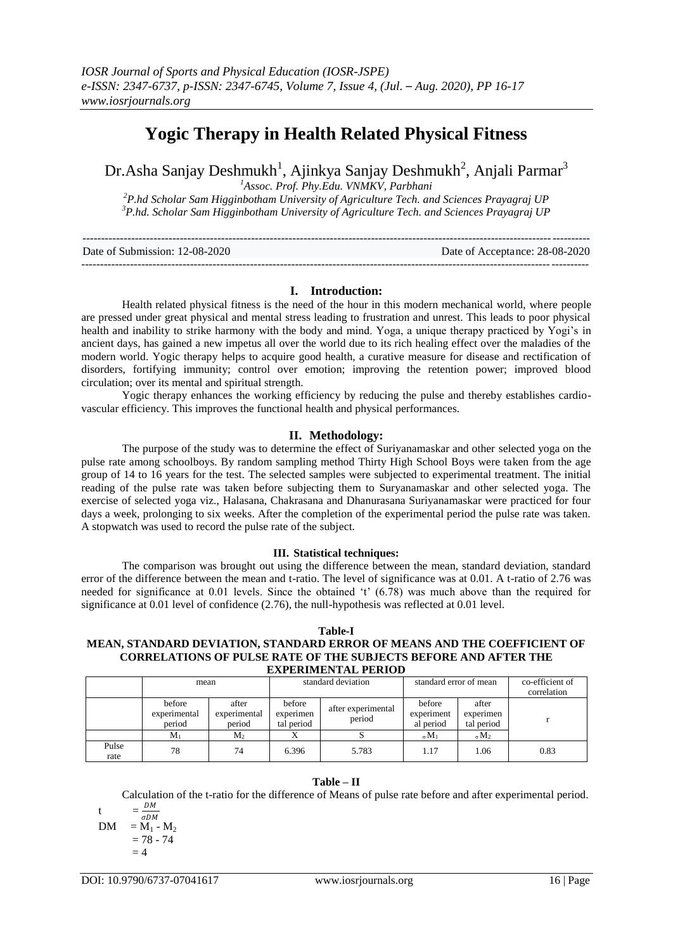# **Yogic Therapy in Health Related Physical Fitness**

Dr.Asha Sanjay Deshmukh<sup>1</sup>, Ajinkya Sanjay Deshmukh<sup>2</sup>, Anjali Parmar<sup>3</sup>

*<sup>1</sup>Assoc. Prof. Phy.Edu. VNMKV, Parbhani*

*<sup>2</sup>P.hd Scholar Sam Higginbotham University of Agriculture Tech. and Sciences Prayagraj UP <sup>3</sup>P.hd. Scholar Sam Higginbotham University of Agriculture Tech. and Sciences Prayagraj UP*

| Date of Submission: 12-08-2020 | Date of Acceptance: 28-08-2020 |
|--------------------------------|--------------------------------|
|                                |                                |

# **I. Introduction:**

Health related physical fitness is the need of the hour in this modern mechanical world, where people are pressed under great physical and mental stress leading to frustration and unrest. This leads to poor physical health and inability to strike harmony with the body and mind. Yoga, a unique therapy practiced by Yogi's in ancient days, has gained a new impetus all over the world due to its rich healing effect over the maladies of the modern world. Yogic therapy helps to acquire good health, a curative measure for disease and rectification of disorders, fortifying immunity; control over emotion; improving the retention power; improved blood circulation; over its mental and spiritual strength.

Yogic therapy enhances the working efficiency by reducing the pulse and thereby establishes cardiovascular efficiency. This improves the functional health and physical performances.

# **II. Methodology:**

The purpose of the study was to determine the effect of Suriyanamaskar and other selected yoga on the pulse rate among schoolboys. By random sampling method Thirty High School Boys were taken from the age group of 14 to 16 years for the test. The selected samples were subjected to experimental treatment. The initial reading of the pulse rate was taken before subjecting them to Suryanamaskar and other selected yoga. The exercise of selected yoga viz., Halasana, Chakrasana and Dhanurasana Suriyanamaskar were practiced for four days a week, prolonging to six weeks. After the completion of the experimental period the pulse rate was taken. A stopwatch was used to record the pulse rate of the subject.

### **III. Statistical techniques:**

The comparison was brought out using the difference between the mean, standard deviation, standard error of the difference between the mean and t-ratio. The level of significance was at 0.01. A t-ratio of 2.76 was needed for significance at 0.01 levels. Since the obtained 't' (6.78) was much above than the required for significance at 0.01 level of confidence (2.76), the null-hypothesis was reflected at 0.01 level.

#### **Table-I MEAN, STANDARD DEVIATION, STANDARD ERROR OF MEANS AND THE COEFFICIENT OF CORRELATIONS OF PULSE RATE OF THE SUBJECTS BEFORE AND AFTER THE EXPERIMENTAL PERIOD**

| EAI ENWENTAL I ENIOD |                                  |                                 |                                   |                              |                                   |                                  |                                |  |  |
|----------------------|----------------------------------|---------------------------------|-----------------------------------|------------------------------|-----------------------------------|----------------------------------|--------------------------------|--|--|
|                      | mean                             |                                 | standard deviation                |                              | standard error of mean            |                                  | co-efficient of<br>correlation |  |  |
|                      | before<br>experimental<br>period | after<br>experimental<br>period | before<br>experimen<br>tal period | after experimental<br>period | before<br>experiment<br>al period | after<br>experimen<br>tal period |                                |  |  |
|                      | М.                               | $M_{2}$                         |                                   |                              | $_{\alpha}$ M <sub>1</sub>        | $_{\sigma}$ M <sub>2</sub>       |                                |  |  |
| Pulse<br>rate        | 78                               | 74                              | 6.396                             | 5.783                        | 1.17                              | 1.06                             | 0.83                           |  |  |

# **Table – II**

Calculation of the t-ratio for the difference of Means of pulse rate before and after experimental period. t  $=\frac{DM}{DM}$ 

$$
DM = M_1 - M_2
$$
  
= M<sub>1</sub> - M<sub>2</sub>  
= 78 - 74  
= 4